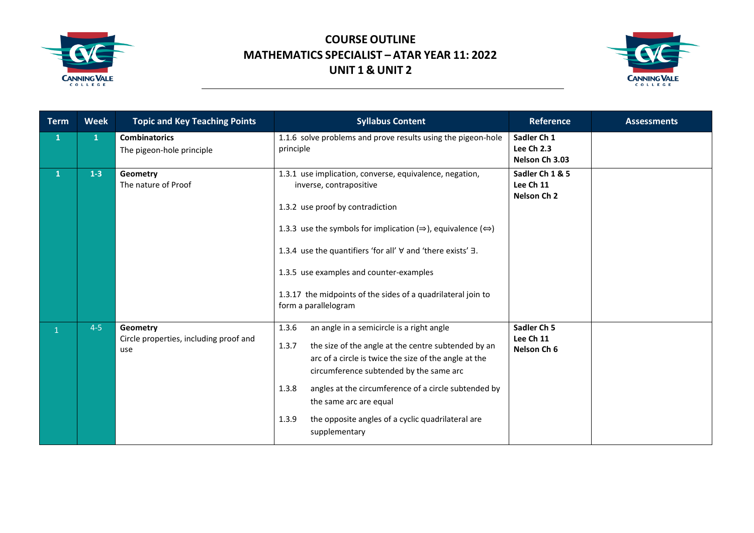



| <b>Term</b>  | <b>Week</b>  | <b>Topic and Key Teaching Points</b>                      | <b>Syllabus Content</b>                                                                                                                                                                                                                                                                                                                                                                                                | <b>Reference</b>                                   | <b>Assessments</b> |
|--------------|--------------|-----------------------------------------------------------|------------------------------------------------------------------------------------------------------------------------------------------------------------------------------------------------------------------------------------------------------------------------------------------------------------------------------------------------------------------------------------------------------------------------|----------------------------------------------------|--------------------|
| $\mathbf{1}$ | $\mathbf{1}$ | <b>Combinatorics</b><br>The pigeon-hole principle         | 1.1.6 solve problems and prove results using the pigeon-hole<br>principle                                                                                                                                                                                                                                                                                                                                              | Sadler Ch 1<br>Lee Ch 2.3<br>Nelson Ch 3.03        |                    |
| $\mathbf{1}$ | $1 - 3$      | Geometry<br>The nature of Proof                           | 1.3.1 use implication, converse, equivalence, negation,<br>inverse, contrapositive<br>1.3.2 use proof by contradiction<br>1.3.3 use the symbols for implication ( $\Rightarrow$ ), equivalence ( $\Leftrightarrow$ )<br>1.3.4 use the quantifiers 'for all' ∀ and 'there exists' ∃.<br>1.3.5 use examples and counter-examples<br>1.3.17 the midpoints of the sides of a quadrilateral join to<br>form a parallelogram | Sadler Ch 1 & 5<br>Lee Ch 11<br>Nelson Ch 2        |                    |
|              | $4-5$        | Geometry<br>Circle properties, including proof and<br>use | 1.3.6<br>an angle in a semicircle is a right angle<br>the size of the angle at the centre subtended by an<br>1.3.7<br>arc of a circle is twice the size of the angle at the<br>circumference subtended by the same arc<br>1.3.8<br>angles at the circumference of a circle subtended by<br>the same arc are equal<br>the opposite angles of a cyclic quadrilateral are<br>1.3.9<br>supplementary                       | Sadler Ch <sub>5</sub><br>Lee Ch 11<br>Nelson Ch 6 |                    |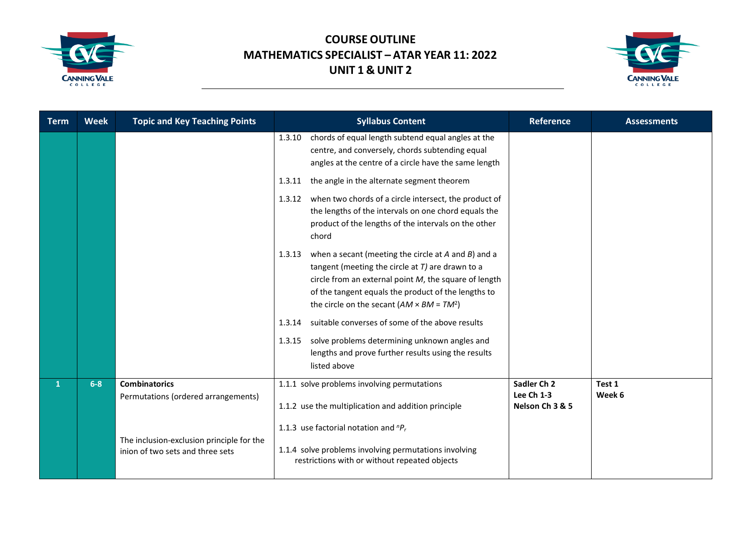



| <b>Term</b>  | <b>Week</b> | <b>Topic and Key Teaching Points</b>                                          | <b>Syllabus Content</b>                                                                                                                                                                                                                                                                          | <b>Reference</b>                             | <b>Assessments</b> |
|--------------|-------------|-------------------------------------------------------------------------------|--------------------------------------------------------------------------------------------------------------------------------------------------------------------------------------------------------------------------------------------------------------------------------------------------|----------------------------------------------|--------------------|
|              |             |                                                                               | chords of equal length subtend equal angles at the<br>1.3.10<br>centre, and conversely, chords subtending equal<br>angles at the centre of a circle have the same length                                                                                                                         |                                              |                    |
|              |             |                                                                               | the angle in the alternate segment theorem<br>1.3.11                                                                                                                                                                                                                                             |                                              |                    |
|              |             |                                                                               | when two chords of a circle intersect, the product of<br>1.3.12<br>the lengths of the intervals on one chord equals the<br>product of the lengths of the intervals on the other<br>chord                                                                                                         |                                              |                    |
|              |             |                                                                               | when a secant (meeting the circle at $A$ and $B$ ) and a<br>1.3.13<br>tangent (meeting the circle at $T$ ) are drawn to a<br>circle from an external point $M$ , the square of length<br>of the tangent equals the product of the lengths to<br>the circle on the secant $(AM \times BM = TM^2)$ |                                              |                    |
|              |             |                                                                               | suitable converses of some of the above results<br>1.3.14                                                                                                                                                                                                                                        |                                              |                    |
|              |             |                                                                               | solve problems determining unknown angles and<br>1.3.15<br>lengths and prove further results using the results<br>listed above                                                                                                                                                                   |                                              |                    |
| $\mathbf{1}$ | $6-8$       | <b>Combinatorics</b><br>Permutations (ordered arrangements)                   | 1.1.1 solve problems involving permutations<br>1.1.2 use the multiplication and addition principle                                                                                                                                                                                               | Sadler Ch 2<br>Lee Ch 1-3<br>Nelson Ch 3 & 5 | Test 1<br>Week 6   |
|              |             | The inclusion-exclusion principle for the<br>inion of two sets and three sets | 1.1.3 use factorial notation and ${}^{n}P_{r}$<br>1.1.4 solve problems involving permutations involving<br>restrictions with or without repeated objects                                                                                                                                         |                                              |                    |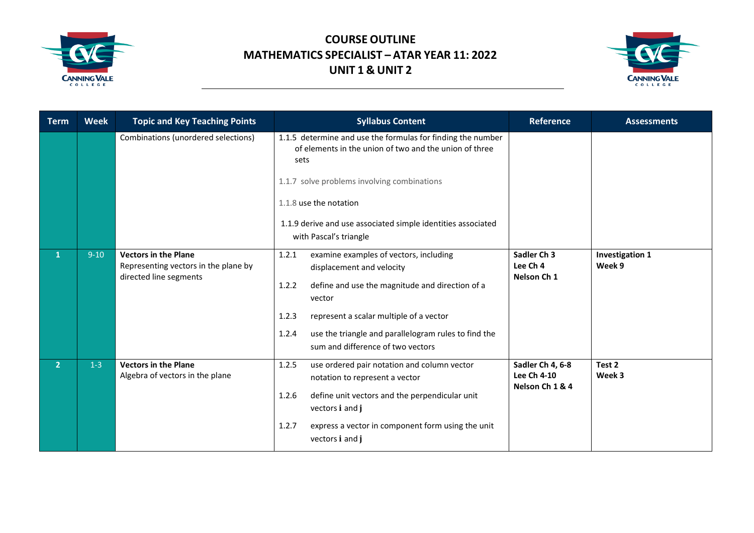



| <b>Term</b>    | <b>Week</b> | <b>Topic and Key Teaching Points</b>                                                          | <b>Syllabus Content</b>                                                                                                                                                                                                                                                                                      | <b>Reference</b>                                   | <b>Assessments</b>        |
|----------------|-------------|-----------------------------------------------------------------------------------------------|--------------------------------------------------------------------------------------------------------------------------------------------------------------------------------------------------------------------------------------------------------------------------------------------------------------|----------------------------------------------------|---------------------------|
|                |             | Combinations (unordered selections)                                                           | 1.1.5 determine and use the formulas for finding the number<br>of elements in the union of two and the union of three<br>sets<br>1.1.7 solve problems involving combinations<br>1.1.8 use the notation<br>1.1.9 derive and use associated simple identities associated<br>with Pascal's triangle             |                                                    |                           |
| 1              | $9-10$      | <b>Vectors in the Plane</b><br>Representing vectors in the plane by<br>directed line segments | 1.2.1<br>examine examples of vectors, including<br>displacement and velocity<br>define and use the magnitude and direction of a<br>1.2.2<br>vector<br>1.2.3<br>represent a scalar multiple of a vector<br>use the triangle and parallelogram rules to find the<br>1.2.4<br>sum and difference of two vectors | Sadler Ch 3<br>Lee Ch 4<br>Nelson Ch 1             | Investigation 1<br>Week 9 |
| 2 <sup>1</sup> | $1-3$       | <b>Vectors in the Plane</b><br>Algebra of vectors in the plane                                | 1.2.5<br>use ordered pair notation and column vector<br>notation to represent a vector<br>define unit vectors and the perpendicular unit<br>1.2.6<br>vectors i and j<br>1.2.7<br>express a vector in component form using the unit<br>vectors i and j                                                        | Sadler Ch 4, 6-8<br>Lee Ch 4-10<br>Nelson Ch 1 & 4 | Test 2<br>Week 3          |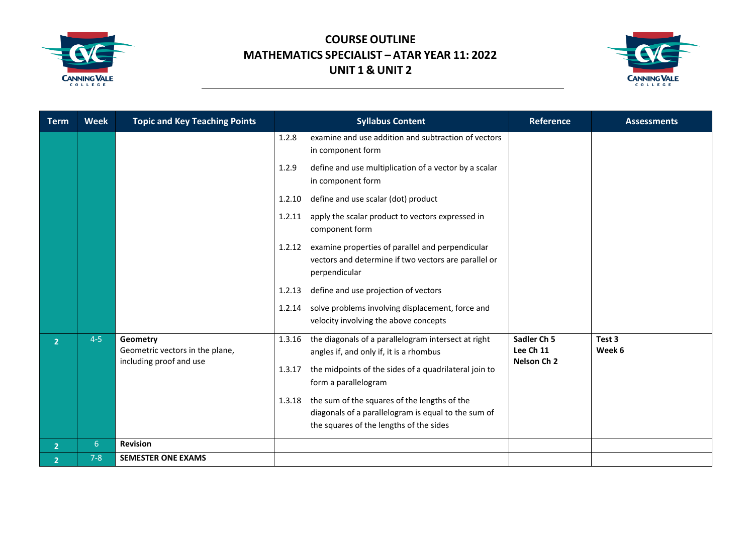



| <b>Term</b>    | <b>Week</b>    | <b>Topic and Key Teaching Points</b>                                   | <b>Syllabus Content</b>                                                                                                             | <b>Reference</b>                                   | <b>Assessments</b> |
|----------------|----------------|------------------------------------------------------------------------|-------------------------------------------------------------------------------------------------------------------------------------|----------------------------------------------------|--------------------|
|                |                |                                                                        | examine and use addition and subtraction of vectors<br>1.2.8<br>in component form                                                   |                                                    |                    |
|                |                |                                                                        | define and use multiplication of a vector by a scalar<br>1.2.9<br>in component form                                                 |                                                    |                    |
|                |                |                                                                        | define and use scalar (dot) product<br>1.2.10                                                                                       |                                                    |                    |
|                |                |                                                                        | apply the scalar product to vectors expressed in<br>1.2.11<br>component form                                                        |                                                    |                    |
|                |                |                                                                        | examine properties of parallel and perpendicular<br>1.2.12<br>vectors and determine if two vectors are parallel or<br>perpendicular |                                                    |                    |
|                |                |                                                                        | define and use projection of vectors<br>1.2.13                                                                                      |                                                    |                    |
|                |                |                                                                        | solve problems involving displacement, force and<br>1.2.14<br>velocity involving the above concepts                                 |                                                    |                    |
| $\overline{2}$ | $4 - 5$        | Geometry<br>Geometric vectors in the plane,<br>including proof and use | the diagonals of a parallelogram intersect at right<br>1.3.16<br>angles if, and only if, it is a rhombus                            | Sadler Ch <sub>5</sub><br>Lee Ch 11<br>Nelson Ch 2 | Test 3<br>Week 6   |
|                |                |                                                                        | the midpoints of the sides of a quadrilateral join to<br>1.3.17<br>form a parallelogram                                             |                                                    |                    |
|                |                |                                                                        | the sum of the squares of the lengths of the<br>1.3.18<br>diagonals of a parallelogram is equal to the sum of                       |                                                    |                    |
|                |                |                                                                        | the squares of the lengths of the sides                                                                                             |                                                    |                    |
| $\overline{2}$ | 6 <sup>1</sup> | <b>Revision</b>                                                        |                                                                                                                                     |                                                    |                    |
| $\overline{2}$ | $7 - 8$        | <b>SEMESTER ONE EXAMS</b>                                              |                                                                                                                                     |                                                    |                    |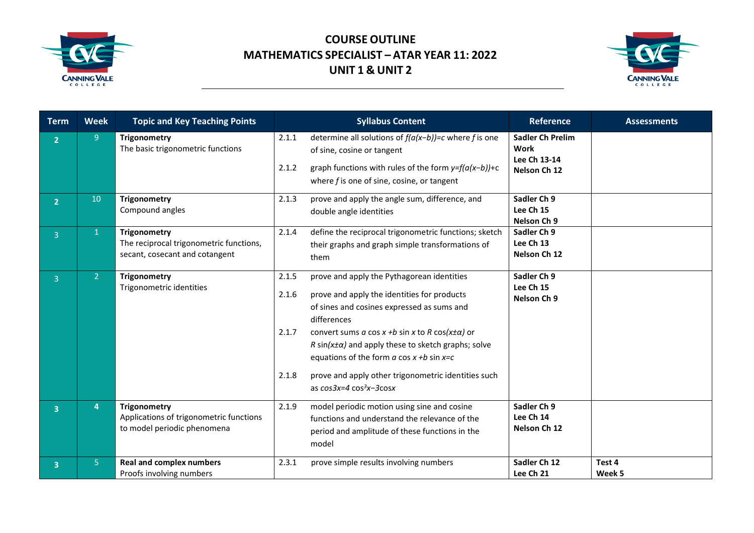



| <b>Term</b>             | <b>Week</b>    | <b>Topic and Key Teaching Points</b>                                                      | <b>Syllabus Content</b>                                                                                                                                                                                                                                                                                                                                                                                                                                           | <b>Reference</b>                                                       | <b>Assessments</b> |
|-------------------------|----------------|-------------------------------------------------------------------------------------------|-------------------------------------------------------------------------------------------------------------------------------------------------------------------------------------------------------------------------------------------------------------------------------------------------------------------------------------------------------------------------------------------------------------------------------------------------------------------|------------------------------------------------------------------------|--------------------|
| 2 <sup>1</sup>          | 9              | Trigonometry<br>The basic trigonometric functions                                         | determine all solutions of $f(a(x-b))=c$ where f is one<br>2.1.1<br>of sine, cosine or tangent<br>2.1.2<br>graph functions with rules of the form $y=f(a(x-b))+c$<br>where $f$ is one of sine, cosine, or tangent                                                                                                                                                                                                                                                 | <b>Sadler Ch Prelim</b><br><b>Work</b><br>Lee Ch 13-14<br>Nelson Ch 12 |                    |
| 2 <sup>1</sup>          | 10             | <b>Trigonometry</b><br>Compound angles                                                    | prove and apply the angle sum, difference, and<br>2.1.3<br>double angle identities                                                                                                                                                                                                                                                                                                                                                                                | Sadler Ch 9<br>Lee Ch 15<br>Nelson Ch 9                                |                    |
| $\overline{3}$          | $\mathbf{1}$   | Trigonometry<br>The reciprocal trigonometric functions,<br>secant, cosecant and cotangent | 2.1.4<br>define the reciprocal trigonometric functions; sketch<br>their graphs and graph simple transformations of<br>them                                                                                                                                                                                                                                                                                                                                        | Sadler Ch 9<br>Lee Ch 13<br>Nelson Ch 12                               |                    |
| $\overline{3}$          | 2 <sup>1</sup> | <b>Trigonometry</b><br>Trigonometric identities                                           | prove and apply the Pythagorean identities<br>2.1.5<br>2.1.6<br>prove and apply the identities for products<br>of sines and cosines expressed as sums and<br>differences<br>convert sums a cos x +b sin x to R cos( $x\pm\alpha$ ) or<br>2.1.7<br>R sin( $x \pm \alpha$ ) and apply these to sketch graphs; solve<br>equations of the form $a \cos x + b \sin x = c$<br>2.1.8<br>prove and apply other trigonometric identities such<br>as $cos3x=4 cos^3x-3cosx$ | Sadler Ch 9<br>Lee Ch 15<br>Nelson Ch 9                                |                    |
| $\overline{\mathbf{3}}$ | 4              | Trigonometry<br>Applications of trigonometric functions<br>to model periodic phenomena    | 2.1.9<br>model periodic motion using sine and cosine<br>functions and understand the relevance of the<br>period and amplitude of these functions in the<br>model                                                                                                                                                                                                                                                                                                  | Sadler Ch 9<br>Lee Ch 14<br>Nelson Ch 12                               |                    |
| $\overline{\mathbf{3}}$ | 5 <sup>1</sup> | <b>Real and complex numbers</b><br>Proofs involving numbers                               | 2.3.1<br>prove simple results involving numbers                                                                                                                                                                                                                                                                                                                                                                                                                   | Sadler Ch 12<br>Lee Ch 21                                              | Test 4<br>Week 5   |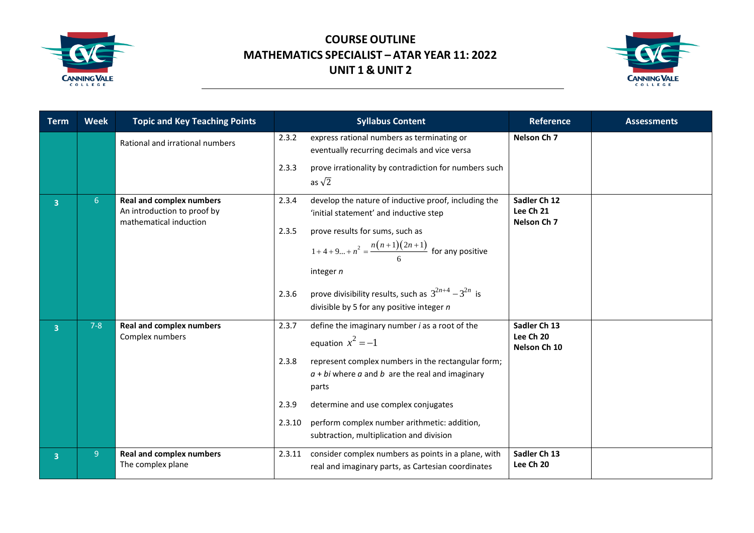



| <b>Term</b>             | <b>Week</b>    | <b>Topic and Key Teaching Points</b>                                                     | <b>Syllabus Content</b>                                                                                                                                                                                                                                                                                                                                                  | <b>Reference</b>                          | <b>Assessments</b> |
|-------------------------|----------------|------------------------------------------------------------------------------------------|--------------------------------------------------------------------------------------------------------------------------------------------------------------------------------------------------------------------------------------------------------------------------------------------------------------------------------------------------------------------------|-------------------------------------------|--------------------|
|                         |                | Rational and irrational numbers                                                          | 2.3.2<br>express rational numbers as terminating or<br>eventually recurring decimals and vice versa                                                                                                                                                                                                                                                                      | Nelson Ch <sub>7</sub>                    |                    |
|                         |                |                                                                                          | 2.3.3<br>prove irrationality by contradiction for numbers such<br>as $\sqrt{2}$                                                                                                                                                                                                                                                                                          |                                           |                    |
| 3 <sup>1</sup>          | 6              | <b>Real and complex numbers</b><br>An introduction to proof by<br>mathematical induction | develop the nature of inductive proof, including the<br>2.3.4<br>'initial statement' and inductive step<br>prove results for sums, such as<br>2.3.5<br>$1+4+9+n^2 = \frac{n(n+1)(2n+1)}{6}$ for any positive<br>integer $n$<br>prove divisibility results, such as $3^{2n+4} - 3^{2n}$ is<br>2.3.6<br>divisible by 5 for any positive integer $n$                        | Sadler Ch 12<br>Lee Ch 21<br>Nelson Ch 7  |                    |
| $\overline{3}$          | $7 - 8$        | <b>Real and complex numbers</b><br>Complex numbers                                       | define the imaginary number $i$ as a root of the<br>2.3.7<br>equation $x^2 = -1$<br>2.3.8<br>represent complex numbers in the rectangular form;<br>$a + bi$ where $a$ and $b$ are the real and imaginary<br>parts<br>determine and use complex conjugates<br>2.3.9<br>perform complex number arithmetic: addition,<br>2.3.10<br>subtraction, multiplication and division | Sadler Ch 13<br>Lee Ch 20<br>Nelson Ch 10 |                    |
| $\overline{\mathbf{3}}$ | 9 <sup>°</sup> | <b>Real and complex numbers</b><br>The complex plane                                     | consider complex numbers as points in a plane, with<br>2.3.11<br>real and imaginary parts, as Cartesian coordinates                                                                                                                                                                                                                                                      | Sadler Ch 13<br>Lee Ch 20                 |                    |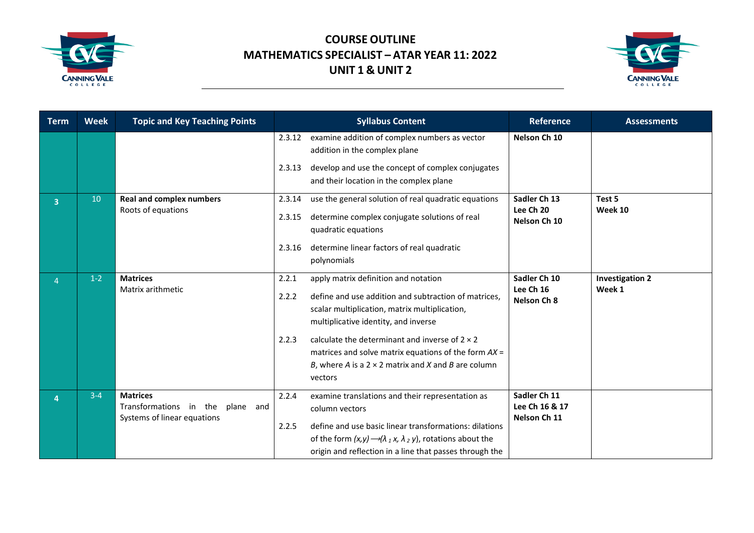



| <b>Term</b>    | <b>Week</b> | <b>Topic and Key Teaching Points</b>                                                  |                            | <b>Syllabus Content</b>                                                                                                                                                                                                                                                                                                                                                           |                                                | <b>Assessments</b>               |
|----------------|-------------|---------------------------------------------------------------------------------------|----------------------------|-----------------------------------------------------------------------------------------------------------------------------------------------------------------------------------------------------------------------------------------------------------------------------------------------------------------------------------------------------------------------------------|------------------------------------------------|----------------------------------|
|                |             |                                                                                       | 2.3.12                     | examine addition of complex numbers as vector<br>addition in the complex plane                                                                                                                                                                                                                                                                                                    | Nelson Ch 10                                   |                                  |
|                |             |                                                                                       | 2.3.13                     | develop and use the concept of complex conjugates<br>and their location in the complex plane                                                                                                                                                                                                                                                                                      |                                                |                                  |
| $\overline{3}$ | 10          | <b>Real and complex numbers</b><br>Roots of equations                                 | 2.3.14<br>2.3.15<br>2.3.16 | use the general solution of real quadratic equations<br>determine complex conjugate solutions of real<br>quadratic equations<br>determine linear factors of real quadratic<br>polynomials                                                                                                                                                                                         | Sadler Ch 13<br>Lee Ch 20<br>Nelson Ch 10      | Test 5<br>Week 10                |
| 4              | $1-2$       | <b>Matrices</b><br>Matrix arithmetic                                                  | 2.2.1<br>2.2.2<br>2.2.3    | apply matrix definition and notation<br>define and use addition and subtraction of matrices,<br>scalar multiplication, matrix multiplication,<br>multiplicative identity, and inverse<br>calculate the determinant and inverse of $2 \times 2$<br>matrices and solve matrix equations of the form $AX =$<br>B, where A is a $2 \times 2$ matrix and X and B are column<br>vectors | Sadler Ch 10<br>Lee Ch 16<br>Nelson Ch 8       | <b>Investigation 2</b><br>Week 1 |
| 4              | $3 - 4$     | <b>Matrices</b><br>Transformations in the<br>plane and<br>Systems of linear equations | 2.2.4<br>2.2.5             | examine translations and their representation as<br>column vectors<br>define and use basic linear transformations: dilations<br>of the form $(x, y) \rightarrow (\lambda_1 x, \lambda_2 y)$ , rotations about the<br>origin and reflection in a line that passes through the                                                                                                      | Sadler Ch 11<br>Lee Ch 16 & 17<br>Nelson Ch 11 |                                  |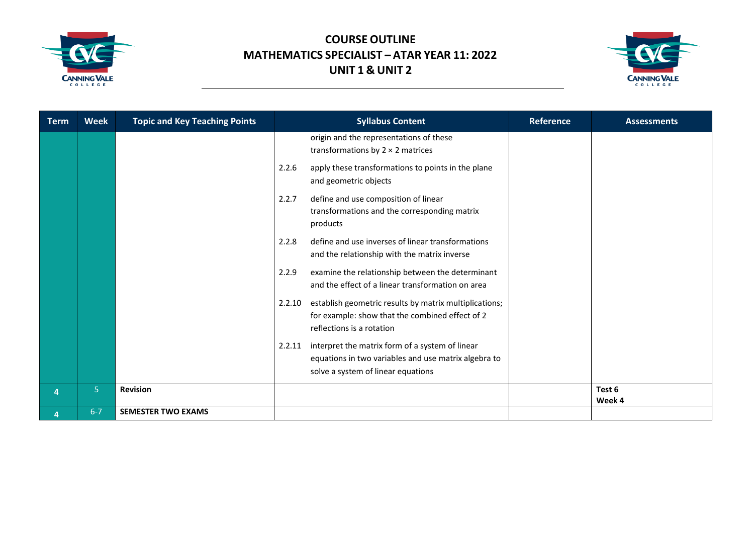



| <b>Term</b> | <b>Week</b>    | <b>Topic and Key Teaching Points</b> | <b>Syllabus Content</b>                                                                                                                                 | <b>Reference</b> | <b>Assessments</b> |
|-------------|----------------|--------------------------------------|---------------------------------------------------------------------------------------------------------------------------------------------------------|------------------|--------------------|
|             |                |                                      | origin and the representations of these<br>transformations by $2 \times 2$ matrices                                                                     |                  |                    |
|             |                |                                      | 2.2.6<br>apply these transformations to points in the plane<br>and geometric objects                                                                    |                  |                    |
|             |                |                                      | define and use composition of linear<br>2.2.7<br>transformations and the corresponding matrix<br>products                                               |                  |                    |
|             |                |                                      | define and use inverses of linear transformations<br>2.2.8<br>and the relationship with the matrix inverse                                              |                  |                    |
|             |                |                                      | examine the relationship between the determinant<br>2.2.9<br>and the effect of a linear transformation on area                                          |                  |                    |
|             |                |                                      | establish geometric results by matrix multiplications;<br>2.2.10<br>for example: show that the combined effect of 2<br>reflections is a rotation        |                  |                    |
|             |                |                                      | interpret the matrix form of a system of linear<br>2.2.11<br>equations in two variables and use matrix algebra to<br>solve a system of linear equations |                  |                    |
| 4           | 5 <sup>1</sup> | <b>Revision</b>                      |                                                                                                                                                         |                  | Test 6             |
| 4           | $6 - 7$        | <b>SEMESTER TWO EXAMS</b>            |                                                                                                                                                         |                  | Week 4             |